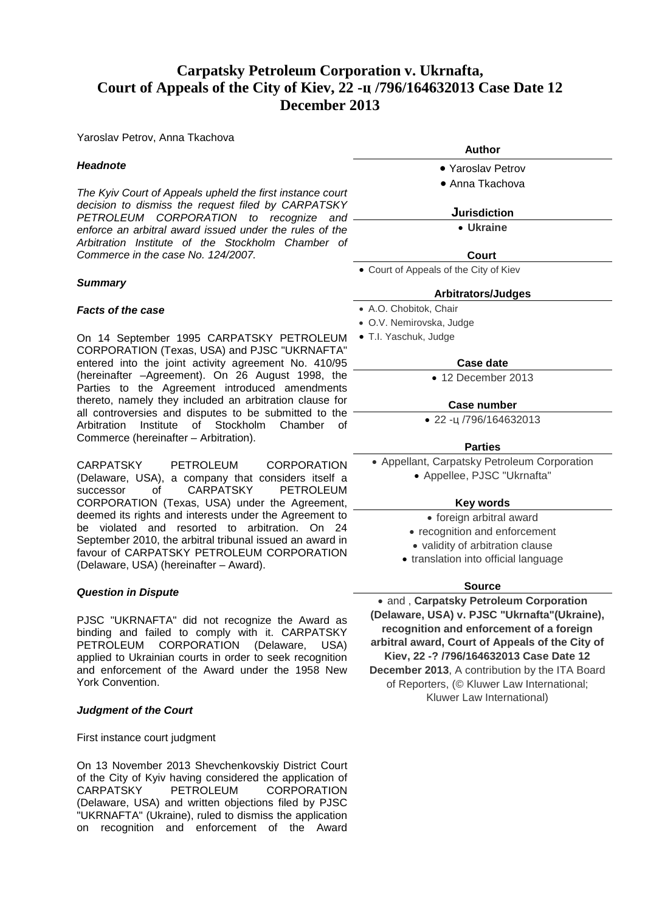# **Carpatsky Petroleum Corporation v. Ukrnafta, Court of Appeals of the City of Kiev, 22 -ц /796/164632013 Case Date 12 December 2013**

Yaroslav Petrov, Anna Tkachova

## *Headnote*

*The Kyiv Court of Appeals upheld the first instance court decision to dismiss the request filed by CARPATSKY PETROLEUM CORPORATION to recognize and enforce an arbitral award issued under the rules of the Arbitration Institute of the Stockholm Chamber of Commerce in the case No. 124/2007.* 

## *Summary*

## *Facts of the case*

On 14 September 1995 CARPATSKY PETROLEUM CORPORATION (Texas, USA) and PJSC "UKRNAFTA" entered into the joint activity agreement No. 410/95 (hereinafter –Agreement). On 26 August 1998, the Parties to the Agreement introduced amendments thereto, namely they included an arbitration clause for all controversies and disputes to be submitted to the Arbitration Institute of Stockholm Chamber of Commerce (hereinafter – Arbitration).

CARPATSKY PETROLEUM CORPORATION (Delaware, USA), a company that considers itself a successor of CARPATSKY CORPORATION (Texas, USA) under the Agreement, deemed its rights and interests under the Agreement to be violated and resorted to arbitration. On 24 September 2010, the arbitral tribunal issued an award in favour of CARPATSKY PETROLEUM CORPORATION (Delaware, USA) (hereinafter – Award).

## *Question in Dispute*

PJSC "UKRNAFTA" did not recognize the Award as binding and failed to comply with it. CARPATSKY PETROLEUM CORPORATION (Delaware, USA) applied to Ukrainian courts in order to seek recognition and enforcement of the Award under the 1958 New York Convention.

#### *Judgment of the Court*

First instance court judgment

On 13 November 2013 Shevchenkovskiy District Court of the City of Kyiv having considered the application of CARPATSKY PETROLEUM CORPORATION (Delaware, USA) and written objections filed by PJSC "UKRNAFTA" (Ukraine), ruled to dismiss the application on recognition and enforcement of the Award

- **Author**
- Yaroslav Petrov
- Anna Tkachova

#### **Jurisdiction**

• **[Ukraine](http://www.kluwerarbitration.com/CommonUI/organizations.aspx?jurisdiction=Ukraine)**

#### **Court**

• Court of Appeals of the City of Kiev

#### **Arbitrators/Judges**

- A.O. Chobitok, Chair
- O.V. Nemirovska, Judge
- T.I. Yaschuk, Judge

## **Case date**

• 12 December 2013

## **Case number**

• 22 -ц /796/164632013

## **Parties**

- Appellant, Carpatsky Petroleum Corporation
	- Appellee, PJSC "Ukrnafta"

## **Key words**

- foreign arbitral award
- recognition and enforcement
- validity of arbitration clause
- translation into official language

## **Source**

• and , **Carpatsky Petroleum Corporation (Delaware, USA) v. PJSC "Ukrnafta"(Ukraine), recognition and enforcement of a foreign arbitral award, Court of Appeals of the City of Kiev, 22 -? /796/164632013 Case Date 12 December 2013**, A contribution by the ITA Board of Reporters, (© Kluwer Law International; Kluwer Law International)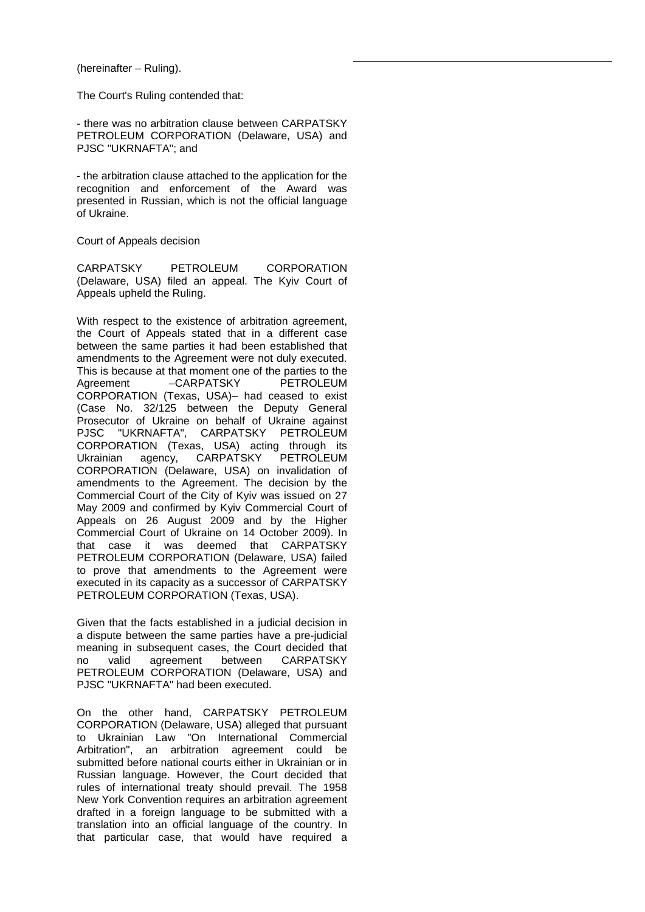(hereinafter – Ruling).

The Court's Ruling contended that:

- there was no arbitration clause between CARPATSKY PETROLEUM CORPORATION (Delaware, USA) and PJSC "UKRNAFTA"; and

- the arbitration clause attached to the application for the recognition and enforcement of the Award was presented in Russian, which is not the official language of Ukraine.

Court of Appeals decision

CARPATSKY PETROLEUM CORPORATION (Delaware, USA) filed an appeal. The Kyiv Court of Appeals upheld the Ruling.

With respect to the existence of arbitration agreement, the Court of Appeals stated that in a different case between the same parties it had been established that amendments to the Agreement were not duly executed. This is because at that moment one of the parties to the Agreement – CARPATSKY PETROLEUM CORPORATION (Texas, USA)– had ceased to exist (Case No. 32/125 between the Deputy General Prosecutor of Ukraine on behalf of Ukraine against<br>PJSC "UKRNAFTA". CARPATSKY PETROLEUM "UKRNAFTA", CARPATSKY PETROLEUM CORPORATION (Texas, USA) acting through its Ukrainian agency, CARPATSKY PETROLEUM CORPORATION (Delaware, USA) on invalidation of amendments to the Agreement. The decision by the Commercial Court of the City of Kyiv was issued on 27 May 2009 and confirmed by Kyiv Commercial Court of Appeals on 26 August 2009 and by the Higher Commercial Court of Ukraine on 14 October 2009). In that case it was deemed that CARPATSKY PETROLEUM CORPORATION (Delaware, USA) failed to prove that amendments to the Agreement were executed in its capacity as a successor of CARPATSKY PETROLEUM CORPORATION (Texas, USA).

Given that the facts established in a judicial decision in a dispute between the same parties have a pre-judicial meaning in subsequent cases, the Court decided that no valid agreement between CARPATSKY PETROLEUM CORPORATION (Delaware, USA) and PJSC "UKRNAFTA" had been executed.

On the other hand, CARPATSKY PETROLEUM CORPORATION (Delaware, USA) alleged that pursuant to Ukrainian Law "On International Commercial Arbitration", an arbitration agreement could be submitted before national courts either in Ukrainian or in Russian language. However, the Court decided that rules of international treaty should prevail. The 1958 New York Convention requires an arbitration agreement drafted in a foreign language to be submitted with a translation into an official language of the country. In that particular case, that would have required a